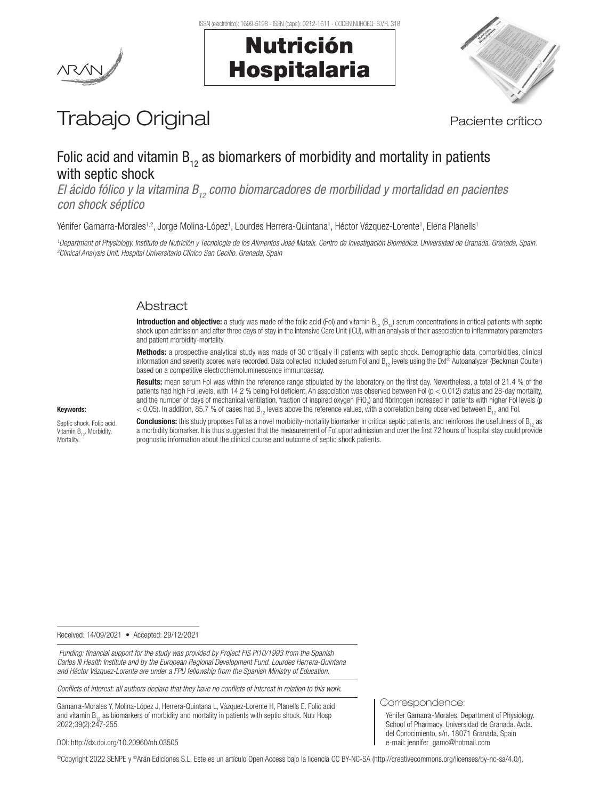



# Trabajo Original en el paciente crítico

## Folic acid and vitamin  $B_{12}$  as biomarkers of morbidity and mortality in patients with septic shock

*El ácido fólico y la vitamina B<sub>12</sub> como biomarcadores de morbilidad y mortalidad en pacientes con shock séptico*

Yénifer Gamarra-Morales<sup>1,2</sup>, Jorge Molina-López<sup>1</sup>, Lourdes Herrera-Quintana<sup>1</sup>, Héctor Vázquez-Lorente<sup>1</sup>, Elena Planells<sup>1</sup>

*1 Department of Physiology. Instituto de Nutrición y Tecnología de los Alimentos José Mataix. Centro de Investigación Biomédica. Universidad de Granada. Granada, Spain. 2 Clinical Analysis Unit. Hospital Universitario Clínico San Cecilio. Granada, Spain*

## **Abstract**

**Introduction and objective:** a study was made of the folic acid (Fol) and vitamin  $B_{12} (B_{12})$  serum concentrations in critical patients with septic shock upon admission and after three days of stay in the Intensive Care Unit (ICU), with an analysis of their association to inflammatory parameters and patient morbidity-mortality.

Methods: a prospective analytical study was made of 30 critically ill patients with septic shock. Demographic data, comorbidities, clinical information and severity scores were recorded. Data collected included serum Fol and B<sub>12</sub> levels using the DxI® Autoanalyzer (Beckman Coulter) based on a competitive electrochemoluminescence immunoassay.

Results: mean serum Fol was within the reference range stipulated by the laboratory on the first day. Nevertheless, a total of 21.4 % of the patients had high Fol levels, with 14.2 % being Fol deficient. An association was observed between Fol (p < 0.012) status and 28-day mortality, and the number of days of mechanical ventilation, fraction of inspired oxygen (FiO<sub>2</sub>) and fibrinogen increased in patients with higher Fol levels (p  $<$  0.05). In addition, 85.7 % of cases had B<sub>12</sub> levels above the reference values, with a correlation being observed between B<sub>12</sub> and Fol.

#### Keywords:

Septic shock. Folic acid. Vitamin  $B_{12}$ . Morbidity. Mortality.

**Conclusions:** this study proposes Fol as a novel morbidity-mortality biomarker in critical septic patients, and reinforces the usefulness of B<sub>12</sub> as a morbidity biomarker. It is thus suggested that the measurement of Fol upon admission and over the first 72 hours of hospital stay could provide prognostic information about the clinical course and outcome of septic shock patients.

Received: 14/09/2021 • Accepted: 29/12/2021

 *Funding: financial support for the study was provided by Project FIS PI10/1993 from the Spanish Carlos III Health Institute and by the European Regional Development Fund. Lourdes Herrera-Quintana and Héctor Vázquez-Lorente are under a FPU fellowship from the Spanish Ministry of Education.*

*Conflicts of interest: all authors declare that they have no conflicts of interest in relation to this work.*

Gamarra-Morales Y, Molina-López J, Herrera-Quintana L, Vázquez-Lorente H, Planells E. Folic acid and vitamin  $B_{12}$  as biomarkers of morbidity and mortality in patients with septic shock. Nutr Hosp 2022;39(2):247-255

Correspondence:

Yénifer Gamarra-Morales. Department of Physiology. School of Pharmacy. Universidad de Granada. Avda. del Conocimiento, s/n. 18071 Granada, Spain e-mail: jennifer\_gamo@hotmail.com

DOI: http://dx.doi.org/10.20960/nh.03505

©Copyright 2022 SENPE y ©Arán Ediciones S.L. Este es un artículo Open Access bajo la licencia CC BY-NC-SA (http://creativecommons.org/licenses/by-nc-sa/4.0/).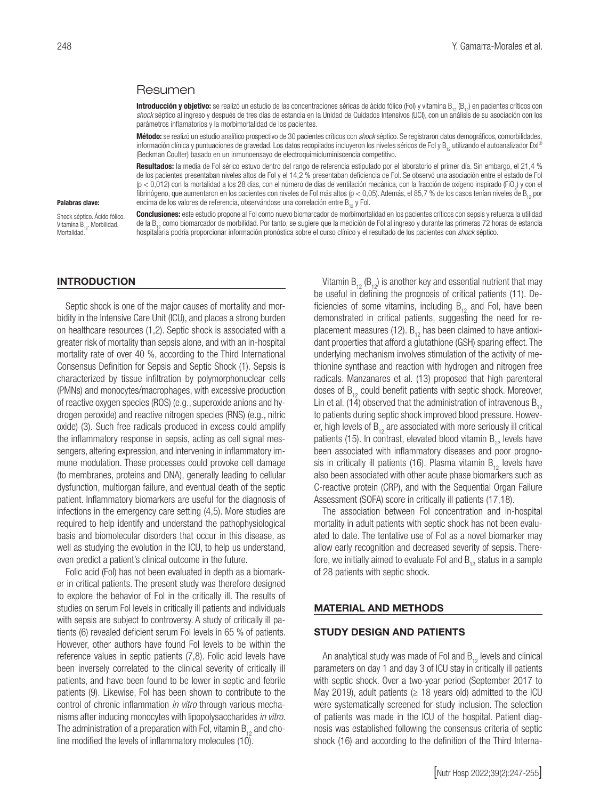### Resumen

Introducción y objetivo: se realizó un estudio de las concentraciones séricas de ácido fólico (Fol) y vitamina B<sub>12</sub> (B<sub>12</sub>) en pacientes críticos con shock séptico al ingreso y después de tres días de estancia en la Unidad de Cuidados Intensivos (UCI), con un análisis de su asociación con los parámetros inflamatorios y la morbimortalidad de los pacientes.

Método: se realizó un estudio analítico prospectivo de 30 pacientes críticos con *shock* séptico. Se registraron datos demográficos, comorbilidades, información clínica y puntuaciones de gravedad. Los datos recopilados incluyeron los niveles séricos de Fol y B<sub>12</sub> utilizando el autoanalizador DxI® (Beckman Coulter) basado en un inmunoensayo de electroquimioluminiscencia competitivo.

Resultados: la media de Fol sérico estuvo dentro del rango de referencia estipulado por el laboratorio el primer día. Sin embargo, el 21,4 % de los pacientes presentaban niveles altos de Fol y el 14,2 % presentaban deficiencia de Fol. Se observó una asociación entre el estado de Fol (p < 0,012) con la mortalidad a los 28 días, con el número de días de ventilación mecánica, con la fracción de oxígeno inspirado (FiO<sub>2</sub>) y con el fibrinógeno, que aumentaron en los pacientes con niveles de Fol más altos (p < 0,05). Además, el 85,7 % de los casos tenían niveles de B, por encima de los valores de referencia, observándose una correlación entre  $B_{12}$  y Fol.

#### Palabras clave:

Shock séptico. Ácido fólico. Vitamina B<sub>12</sub>. Morbilidad. Mortalidad<sup>1</sup>

Conclusiones: este estudio propone al Fol como nuevo biomarcador de morbimortalidad en los pacientes críticos con sepsis y refuerza la utilidad de la B12 como biomarcador de morbilidad. Por tanto, se sugiere que la medición de Fol al ingreso y durante las primeras 72 horas de estancia hospitalaria podría proporcionar información pronóstica sobre el curso clínico y el resultado de los pacientes con *shock* séptico.

#### INTRODUCTION

Septic shock is one of the major causes of mortality and morbidity in the Intensive Care Unit (ICU), and places a strong burden on healthcare resources (1,2). Septic shock is associated with a greater risk of mortality than sepsis alone, and with an in-hospital mortality rate of over 40 %, according to the Third International Consensus Definition for Sepsis and Septic Shock (1). Sepsis is characterized by tissue infiltration by polymorphonuclear cells (PMNs) and monocytes/macrophages, with excessive production of reactive oxygen species (ROS) (e.g., superoxide anions and hydrogen peroxide) and reactive nitrogen species (RNS) (e.g., nitric oxide) (3). Such free radicals produced in excess could amplify the inflammatory response in sepsis, acting as cell signal messengers, altering expression, and intervening in inflammatory immune modulation. These processes could provoke cell damage (to membranes, proteins and DNA), generally leading to cellular dysfunction, multiorgan failure, and eventual death of the septic patient. Inflammatory biomarkers are useful for the diagnosis of infections in the emergency care setting (4,5). More studies are required to help identify and understand the pathophysiological basis and biomolecular disorders that occur in this disease, as well as studying the evolution in the ICU, to help us understand, even predict a patient's clinical outcome in the future.

Folic acid (Fol) has not been evaluated in depth as a biomarker in critical patients. The present study was therefore designed to explore the behavior of Fol in the critically ill. The results of studies on serum Fol levels in critically ill patients and individuals with sepsis are subject to controversy. A study of critically ill patients (6) revealed deficient serum Fol levels in 65 % of patients. However, other authors have found Fol levels to be within the reference values in septic patients (7,8). Folic acid levels have been inversely correlated to the clinical severity of critically ill patients, and have been found to be lower in septic and febrile patients (9). Likewise, Fol has been shown to contribute to the control of chronic inflammation *in vitro* through various mechanisms after inducing monocytes with lipopolysaccharides *in vitro.* The administration of a preparation with Fol, vitamin  $B_{12}$  and choline modified the levels of inflammatory molecules (10).

Vitamin  $B_{12}$  ( $B_{12}$ ) is another key and essential nutrient that may be useful in defining the prognosis of critical patients (11). Deficiencies of some vitamins, including  $B_{12}$  and Fol, have been demonstrated in critical patients, suggesting the need for replacement measures (12).  $B_{12}$  has been claimed to have antioxidant properties that afford a glutathione (GSH) sparing effect. The underlying mechanism involves stimulation of the activity of methionine synthase and reaction with hydrogen and nitrogen free radicals. Manzanares et al. (13) proposed that high parenteral doses of  $B_{12}$  could benefit patients with septic shock. Moreover, Lin et al. (14) observed that the administration of intravenous  $B_{12}$ to patients during septic shock improved blood pressure. However, high levels of  $B_{12}$  are associated with more seriously ill critical patients (15). In contrast, elevated blood vitamin  $B_{12}$  levels have been associated with inflammatory diseases and poor prognosis in critically ill patients (16). Plasma vitamin  $B_{12}$  levels have also been associated with other acute phase biomarkers such as C-reactive protein (CRP), and with the Sequential Organ Failure Assessment (SOFA) score in critically ill patients (17,18).

The association between Fol concentration and in-hospital mortality in adult patients with septic shock has not been evaluated to date. The tentative use of Fol as a novel biomarker may allow early recognition and decreased severity of sepsis. Therefore, we initially aimed to evaluate Fol and  $B_{12}$  status in a sample of 28 patients with septic shock.

#### MATERIAL AND METHODS

#### STUDY DESIGN AND PATIENTS

An analytical study was made of Fol and  $B_{12}$  levels and clinical parameters on day 1 and day 3 of ICU stay in critically ill patients with septic shock. Over a two-year period (September 2017 to May 2019), adult patients ( $\geq$  18 years old) admitted to the ICU were systematically screened for study inclusion. The selection of patients was made in the ICU of the hospital. Patient diagnosis was established following the consensus criteria of septic shock (16) and according to the definition of the Third Interna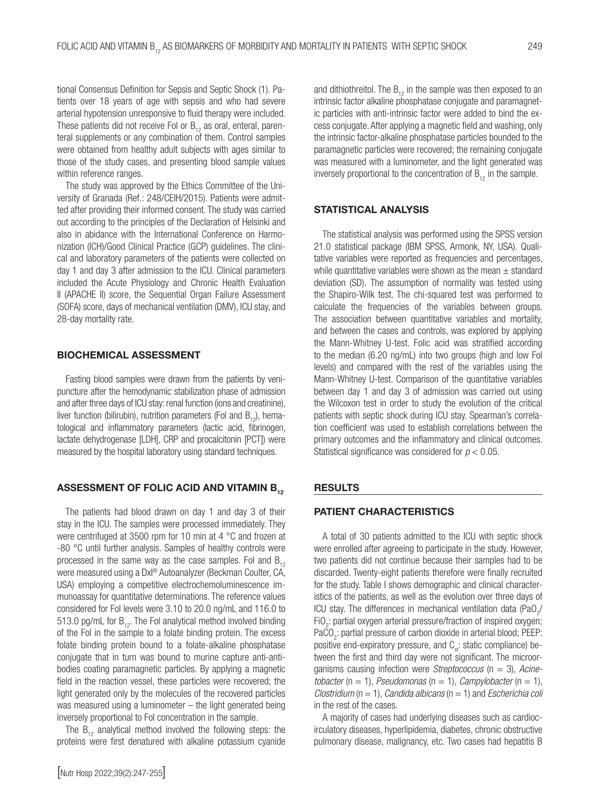tional Consensus Definition for Sepsis and Septic Shock (1). Patients over 18 years of age with sepsis and who had severe arterial hypotension unresponsive to fluid therapy were included. These patients did not receive Fol or  $B_{12}$  as oral, enteral, parenteral supplements or any combination of them. Control samples were obtained from healthy adult subjects with ages similar to those of the study cases, and presenting blood sample values within reference ranges.

The study was approved by the Ethics Committee of the University of Granada (Ref.: 248/CEIH/2015). Patients were admitted after providing their informed consent. The study was carried out according to the principles of the Declaration of Helsinki and also in abidance with the International Conference on Harmonization (ICH)/Good Clinical Practice (GCP) guidelines. The clinical and laboratory parameters of the patients were collected on day 1 and day 3 after admission to the ICU. Clinical parameters included the Acute Physiology and Chronic Health Evaluation II (APACHE II) score, the Sequential Organ Failure Assessment (SOFA) score, days of mechanical ventilation (DMV), ICU stay, and 28-day mortality rate.

#### BIOCHEMICAL ASSESSMENT

Fasting blood samples were drawn from the patients by venipuncture after the hemodynamic stabilization phase of admission and after three days of ICU stay: renal function (ions and creatinine), liver function (bilirubin), nutrition parameters (Fol and  $B_{12}$ ), hematological and inflammatory parameters (lactic acid, fibrinogen, lactate dehydrogenase [LDH], CRP and procalcitonin [PCT]) were measured by the hospital laboratory using standard techniques.

## ASSESSMENT OF FOLIC ACID AND VITAMIN B.

The patients had blood drawn on day 1 and day 3 of their stay in the ICU. The samples were processed immediately. They were centrifuged at 3500 rpm for 10 min at 4 °C and frozen at -80 °C until further analysis. Samples of healthy controls were processed in the same way as the case samples. Fol and  $B_{12}$ were measured using a DxI® Autoanalyzer (Beckman Coulter, CA, USA) employing a competitive electrochemoluminescence immunoassay for quantitative determinations. The reference values considered for Fol levels were 3.10 to 20.0 ng/mL and 116.0 to 513.0 pg/mL for  $B_{12}$ . The Fol analytical method involved binding of the Fol in the sample to a folate binding protein. The excess folate binding protein bound to a folate-alkaline phosphatase conjugate that in turn was bound to murine capture anti-antibodies coating paramagnetic particles. By applying a magnetic field in the reaction vessel, these particles were recovered; the light generated only by the molecules of the recovered particles was measured using a luminometer – the light generated being inversely proportional to Fol concentration in the sample.

The  $B_{12}$  analytical method involved the following steps: the proteins were first denatured with alkaline potassium cyanide

[Nutr Hosp 2022;39(2):247-255]

and dithiothreitol. The  $B_{12}$  in the sample was then exposed to an intrinsic factor alkaline phosphatase conjugate and paramagnetic particles with anti-intrinsic factor were added to bind the excess conjugate. After applying a magnetic field and washing, only the intrinsic factor-alkaline phosphatase particles bounded to the paramagnetic particles were recovered; the remaining conjugate was measured with a luminometer, and the light generated was inversely proportional to the concentration of  $B_{12}$  in the sample.

## STATISTICAL ANALYSIS

The statistical analysis was performed using the SPSS version 21.0 statistical package (IBM SPSS, Armonk, NY, USA). Qualitative variables were reported as frequencies and percentages, while quantitative variables were shown as the mean  $\pm$  standard deviation (SD). The assumption of normality was tested using the Shapiro-Wilk test. The chi-squared test was performed to calculate the frequencies of the variables between groups. The association between quantitative variables and mortality, and between the cases and controls, was explored by applying the Mann-Whitney U-test. Folic acid was stratified according to the median (6.20 ng/mL) into two groups (high and low Fol levels) and compared with the rest of the variables using the Mann-Whitney U-test. Comparison of the quantitative variables between day 1 and day 3 of admission was carried out using the Wilcoxon test in order to study the evolution of the critical patients with septic shock during ICU stay. Spearman's correlation coefficient was used to establish correlations between the primary outcomes and the inflammatory and clinical outcomes. Statistical significance was considered for *p* < 0.05.

## RESULTS

## PATIENT CHARACTERISTICS

A total of 30 patients admitted to the ICU with septic shock were enrolled after agreeing to participate in the study. However, two patients did not continue because their samples had to be discarded. Twenty-eight patients therefore were finally recruited for the study. Table I shows demographic and clinical characteristics of the patients, as well as the evolution over three days of ICU stay. The differences in mechanical ventilation data (PaO<sub>2</sub>/  $FiO<sub>2</sub>$ : partial oxygen arterial pressure/fraction of inspired oxygen; PaCO<sub>2</sub>: partial pressure of carbon dioxide in arterial blood; PEEP: positive end-expiratory pressure, and  $C_{st}$ : static compliance) between the first and third day were not significant. The microorganisms causing infection were *Streptococcus* (n = 3), *Acinetobacter* ( $n = 1$ ), *Pseudomonas* ( $n = 1$ ), *Campylobacter* ( $n = 1$ ), *Clostridium* (n = 1), *Candida albicans* (n = 1) and *Escherichia coli* in the rest of the cases.

A majority of cases had underlying diseases such as cardiocirculatory diseases, hyperlipidemia, diabetes, chronic obstructive pulmonary disease, malignancy, etc. Two cases had hepatitis B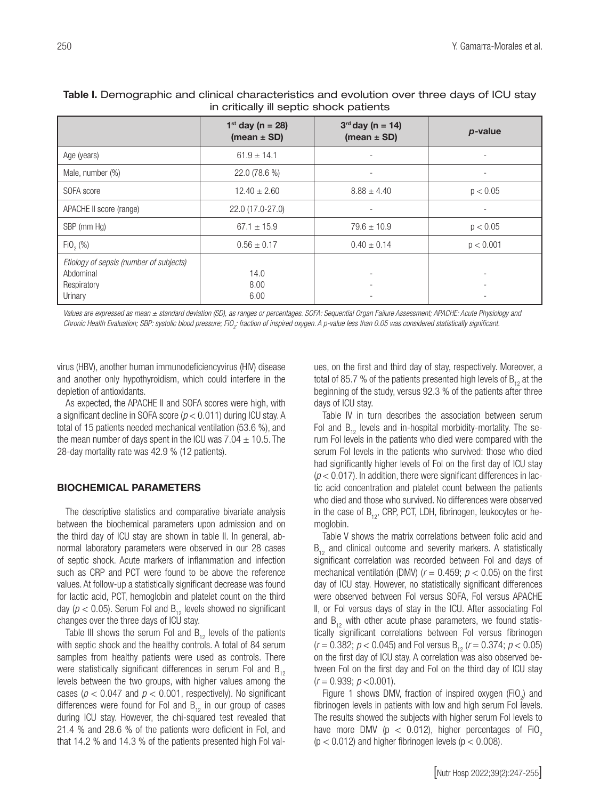|                                                                                | $1^{st}$ day (n = 28)<br>(mean $\pm$ SD) | $3rd$ day (n = 14)<br>(mean $\pm$ SD) | p-value   |
|--------------------------------------------------------------------------------|------------------------------------------|---------------------------------------|-----------|
| Age (years)                                                                    | $61.9 \pm 14.1$                          | $\overline{\phantom{a}}$              |           |
| Male, number (%)                                                               | 22.0 (78.6 %)                            | $\overline{\phantom{0}}$              | ٠         |
| SOFA score                                                                     | $12.40 \pm 2.60$                         | $8.88 \pm 4.40$                       | p < 0.05  |
| APACHE II score (range)                                                        | 22.0 (17.0-27.0)                         | ۰                                     | ٠         |
| SBP (mm Hg)                                                                    | $67.1 \pm 15.9$                          | $79.6 \pm 10.9$                       | p < 0.05  |
| $FiO_2 (%)$                                                                    | $0.56 \pm 0.17$                          | $0.40 \pm 0.14$                       | p < 0.001 |
| Etiology of sepsis (number of subjects)<br>Abdominal<br>Respiratory<br>Urinary | 14.0<br>8.00<br>6.00                     |                                       |           |

## Table I. Demographic and clinical characteristics and evolution over three days of ICU stay in critically ill septic shock patients

*Values are expressed as mean ± standard deviation (SD), as ranges or percentages. SOFA: Sequential Organ Failure Assessment; APACHE: Acute Physiology and*  Chronic Health Evaluation; SBP: systolic blood pressure; FiO<sub>2</sub>: fraction of inspired oxygen. A p-value less than 0.05 was considered statistically significant.

virus (HBV), another human immunodeficiencyvirus (HIV) disease and another only hypothyroidism, which could interfere in the depletion of antioxidants.

As expected, the APACHE II and SOFA scores were high, with a significant decline in SOFA score (*p* < 0.011) during ICU stay. A total of 15 patients needed mechanical ventilation (53.6 %), and the mean number of days spent in the ICU was  $7.04 \pm 10.5$ . The 28-day mortality rate was 42.9 % (12 patients).

## BIOCHEMICAL PARAMETERS

The descriptive statistics and comparative bivariate analysis between the biochemical parameters upon admission and on the third day of ICU stay are shown in table II. In general, abnormal laboratory parameters were observed in our 28 cases of septic shock. Acute markers of inflammation and infection such as CRP and PCT were found to be above the reference values. At follow-up a statistically significant decrease was found for lactic acid, PCT, hemoglobin and platelet count on the third day ( $p < 0.05$ ). Serum Fol and B<sub>12</sub> levels showed no significant changes over the three days of ICU stay.

Table III shows the serum Fol and  $B_{12}$  levels of the patients with septic shock and the healthy controls. A total of 84 serum samples from healthy patients were used as controls. There were statistically significant differences in serum Fol and  $B_{12}$ levels between the two groups, with higher values among the cases ( $p < 0.047$  and  $p < 0.001$ , respectively). No significant differences were found for Fol and  $B_{12}$  in our group of cases during ICU stay. However, the chi-squared test revealed that 21.4 % and 28.6 % of the patients were deficient in Fol, and that 14.2 % and 14.3 % of the patients presented high Fol values, on the first and third day of stay, respectively. Moreover, a total of 85.7 % of the patients presented high levels of  $B_{12}$  at the beginning of the study, versus 92.3 % of the patients after three days of ICU stay.

Table IV in turn describes the association between serum Fol and  $B_{12}$  levels and in-hospital morbidity-mortality. The serum Fol levels in the patients who died were compared with the serum Fol levels in the patients who survived: those who died had significantly higher levels of Fol on the first day of ICU stay  $(p < 0.017)$ . In addition, there were significant differences in lactic acid concentration and platelet count between the patients who died and those who survived. No differences were observed in the case of  $B_{12}$ , CRP, PCT, LDH, fibrinogen, leukocytes or hemoglobin.

Table V shows the matrix correlations between folic acid and  $B_{12}$  and clinical outcome and severity markers. A statistically significant correlation was recorded between Fol and days of mechanical ventilatión (DMV) (*r* = 0.459; *p* < 0.05) on the first day of ICU stay. However, no statistically significant differences were observed between Fol versus SOFA, Fol versus APACHE II, or Fol versus days of stay in the ICU. After associating Fol and  $B_{12}$  with other acute phase parameters, we found statistically significant correlations between Fol versus fibrinogen  $(r = 0.382; p < 0.045)$  and Fol versus B<sub>12</sub>  $(r = 0.374; p < 0.05)$ on the first day of ICU stay. A correlation was also observed between Fol on the first day and Fol on the third day of ICU stay (*r* = 0.939; *p* <0.001).

Figure 1 shows DMV, fraction of inspired oxygen (FiO<sub>2</sub>) and fibrinogen levels in patients with low and high serum Fol levels. The results showed the subjects with higher serum Fol levels to have more DMV ( $p < 0.012$ ), higher percentages of FiO<sub>2</sub>  $(p < 0.012)$  and higher fibrinogen levels  $(p < 0.008)$ .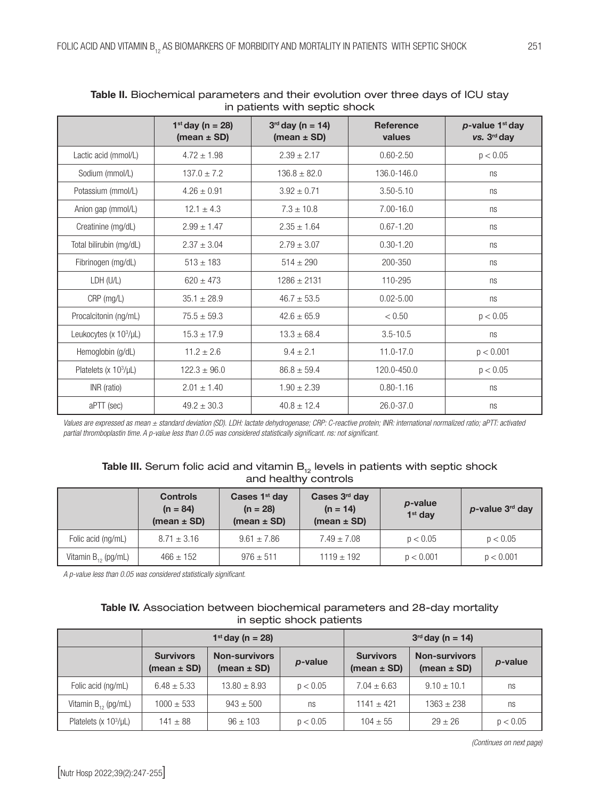| $\cdots$ pation its with soption is noon. |                                          |                                          |                            |                                   |  |  |  |
|-------------------------------------------|------------------------------------------|------------------------------------------|----------------------------|-----------------------------------|--|--|--|
|                                           | $1^{st}$ day (n = 28)<br>(mean $\pm$ SD) | $3^{rd}$ day (n = 14)<br>(mean $\pm$ SD) | <b>Reference</b><br>values | $p$ -value 1st day<br>vs. 3rd day |  |  |  |
| Lactic acid (mmol/L)                      | $4.72 \pm 1.98$                          | $2.39 \pm 2.17$                          | $0.60 - 2.50$              | p < 0.05                          |  |  |  |
| Sodium (mmol/L)                           | $137.0 \pm 7.2$                          | $136.8 \pm 82.0$                         | 136.0-146.0                | ns                                |  |  |  |
| Potassium (mmol/L)                        | $4.26 \pm 0.91$                          | $3.92 \pm 0.71$                          | $3.50 - 5.10$              | ns                                |  |  |  |
| Anion gap (mmol/L)                        | $12.1 \pm 4.3$                           | $7.3 \pm 10.8$                           | 7.00-16.0                  | ns                                |  |  |  |
| Creatinine (mg/dL)                        | $2.99 \pm 1.47$                          | $2.35 \pm 1.64$                          | $0.67 - 1.20$              | ns                                |  |  |  |
| Total bilirubin (mg/dL)                   | $2.37 \pm 3.04$                          | $2.79 \pm 3.07$                          | $0.30 - 1.20$              | ns                                |  |  |  |
| Fibrinogen (mg/dL)                        | $513 \pm 183$                            | $514 \pm 290$                            | 200-350                    | ns                                |  |  |  |
| LDH (U/L)                                 | $620 \pm 473$                            | $1286 \pm 2131$                          | 110-295                    | ns                                |  |  |  |
| CRP (mg/L)                                | $35.1 \pm 28.9$                          | $46.7 \pm 53.5$                          | $0.02 - 5.00$              | ns                                |  |  |  |
| Procalcitonin (ng/mL)                     | $75.5 \pm 59.3$                          | $42.6 \pm 65.9$                          | < 0.50                     | p < 0.05                          |  |  |  |
| Leukocytes (x $10^3/\mu$ L)               | $15.3 \pm 17.9$                          | $13.3 \pm 68.4$                          | $3.5 - 10.5$               | ns                                |  |  |  |
| Hemoglobin (g/dL)                         | $11.2 \pm 2.6$                           | $9.4 \pm 2.1$                            | 11.0-17.0                  | p < 0.001                         |  |  |  |
| Platelets ( $x$ 10 $^3$ / $\mu$ L)        | $122.3 \pm 96.0$                         | $86.8 \pm 59.4$                          | 120.0-450.0                | p < 0.05                          |  |  |  |
| INR (ratio)                               | $2.01 \pm 1.40$                          | $1.90 \pm 2.39$                          | $0.80 - 1.16$              | ns                                |  |  |  |
| aPTT (sec)                                | $49.2 \pm 30.3$                          | $40.8 \pm 12.4$                          | 26.0-37.0                  | ns                                |  |  |  |

| Table II. Biochemical parameters and their evolution over three days of ICU stay |
|----------------------------------------------------------------------------------|
| in patients with septic shock                                                    |

*Values are expressed as mean ± standard deviation (SD). LDH: lactate dehydrogenase; CRP: C-reactive protein; INR: international normalized ratio; aPTT: activated partial thromboplastin time. A p-value less than 0.05 was considered statistically significant. ns: not significant.*

## **Table III.** Serum folic acid and vitamin  $B_{12}$  levels in patients with septic shock and healthy controls

|                          | <b>Controls</b><br>$(n = 84)$<br>(mean $\pm$ SD) | Cases 1 <sup>st</sup> day<br>$(n = 28)$<br>(mean $\pm$ SD) | Cases 3rd day<br>$(n = 14)$<br>(mean $\pm$ SD) | <i>p</i> -value<br>$1st$ dav | $p$ -value $3rd$ day |
|--------------------------|--------------------------------------------------|------------------------------------------------------------|------------------------------------------------|------------------------------|----------------------|
| Folic acid (ng/mL)       | $8.71 \pm 3.16$                                  | $9.61 \pm 7.86$                                            | $7.49 \pm 7.08$                                | p < 0.05                     | p < 0.05             |
| Vitamin $B_{12}$ (pg/mL) | $466 \pm 152$                                    | $976 \pm 511$                                              | $1119 \pm 192$                                 | p < 0.001                    | p < 0.001            |

*A p-value less than 0.05 was considered statistically significant.*

## Table IV. Association between biochemical parameters and 28-day mortality in septic shock patients

|                           | $1^{st}$ day (n = 28)               |                                         |          | $3rd$ day (n = 14)                  |                                         |          |
|---------------------------|-------------------------------------|-----------------------------------------|----------|-------------------------------------|-----------------------------------------|----------|
|                           | <b>Survivors</b><br>(mean $\pm$ SD) | <b>Non-survivors</b><br>(mean $\pm$ SD) | p-value  | <b>Survivors</b><br>(mean $\pm$ SD) | <b>Non-survivors</b><br>(mean $\pm$ SD) | p-value  |
| Folic acid (ng/mL)        | $6.48 \pm 5.33$                     | $13.80 \pm 8.93$                        | p < 0.05 | $7.04 \pm 6.63$                     | $9.10 \pm 10.1$                         | ns       |
| Vitamin $B_{12}$ (pg/mL)  | $1000 \pm 533$                      | $943 \pm 500$                           | ns       | $1141 \pm 421$                      | $1363 + 238$                            | ns       |
| Platelets $(x 103/\mu L)$ | $141 \pm 88$                        | $96 \pm 103$                            | p < 0.05 | $104 + 55$                          | $29 + 26$                               | p < 0.05 |

*(Continues on next page)*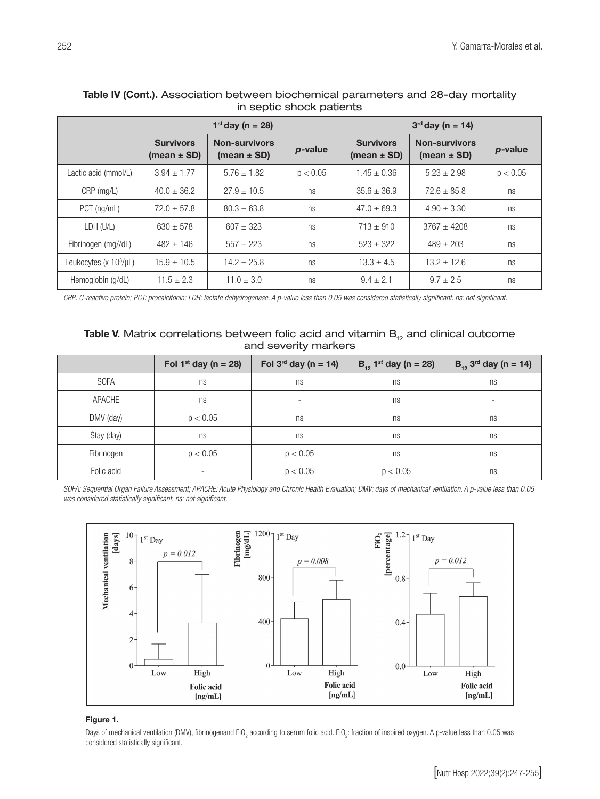|                          | $1^{st}$ day (n = 28)               |                                         |          | $3^{rd}$ day (n = 14)               |                                         |          |
|--------------------------|-------------------------------------|-----------------------------------------|----------|-------------------------------------|-----------------------------------------|----------|
|                          | <b>Survivors</b><br>(mean $\pm$ SD) | <b>Non-survivors</b><br>(mean $\pm$ SD) | p-value  | <b>Survivors</b><br>(mean $\pm$ SD) | <b>Non-survivors</b><br>(mean $\pm$ SD) | p-value  |
| Lactic acid (mmol/L)     | $3.94 \pm 1.77$                     | $5.76 \pm 1.82$                         | p < 0.05 | $1.45 \pm 0.36$                     | $5.23 + 2.98$                           | p < 0.05 |
| CRP (mg/L)               | $40.0 \pm 36.2$                     | $27.9 \pm 10.5$                         | ns       | $35.6 \pm 36.9$                     | $72.6 \pm 85.8$                         | ns       |
| PCT (ng/mL)              | $72.0 \pm 57.8$                     | $80.3 \pm 63.8$                         | ns       | $47.0 \pm 69.3$                     | $4.90 \pm 3.30$                         | ns       |
| LDH (U/L)                | $630 \pm 578$                       | $607 + 323$                             | ns       | $713 \pm 910$                       | $3767 + 4208$                           | ns       |
| Fibrinogen (mg//dL)      | $482 + 146$                         | $557 + 223$                             | ns       | $523 + 322$                         | $489 \pm 203$                           | ns       |
| Leukocytes (x $103/µL$ ) | $15.9 \pm 10.5$                     | $14.2 \pm 25.8$                         | ns       | $13.3 \pm 4.5$                      | $13.2 \pm 12.6$                         | ns       |
| Hemoglobin (g/dL)        | $11.5 \pm 2.3$                      | $11.0 \pm 3.0$                          | ns       | $9.4 \pm 2.1$                       | $9.7 \pm 2.5$                           | ns       |

## Table IV (Cont.). Association between biochemical parameters and 28-day mortality in septic shock patients

*CRP: C-reactive protein; PCT: procalcitonin; LDH: lactate dehydrogenase. A p-value less than 0.05 was considered statistically significant. ns: not significant.*

## Table V. Matrix correlations between folic acid and vitamin  $B_{12}$  and clinical outcome and severity markers

|             | Fol 1st day ( $n = 28$ ) | Fol $3^{rd}$ day (n = 14) | $B_{12}$ , 1 <sup>st</sup> day (n = 28) | $B_{12}$ 3 <sup>rd</sup> day (n = 14) |
|-------------|--------------------------|---------------------------|-----------------------------------------|---------------------------------------|
| <b>SOFA</b> | ns                       | ns                        | ns                                      | ns                                    |
| APACHE      | ns                       | $\sim$                    | ns                                      | ۰                                     |
| DMV (day)   | p < 0.05                 | ns                        | ns                                      | ns                                    |
| Stay (day)  | ns                       | ns                        | ns                                      | ns                                    |
| Fibrinogen  | p < 0.05                 | p < 0.05                  | ns                                      | ns                                    |
| Folic acid  | $\overline{\phantom{a}}$ | p < 0.05                  | p < 0.05                                | ns                                    |

*SOFA: Sequential Organ Failure Assessment; APACHE: Acute Physiology and Chronic Health Evaluation; DMV: days of mechanical ventilation. A p-value less than 0.05 was considered statistically significant. ns: not significant.*



## Figure 1.

Days of mechanical ventilation (DMV), fibrinogenand FiO<sub>2</sub> according to serum folic acid. FiO<sub>2</sub>: fraction of inspired oxygen. A p-value less than 0.05 was considered statistically significant.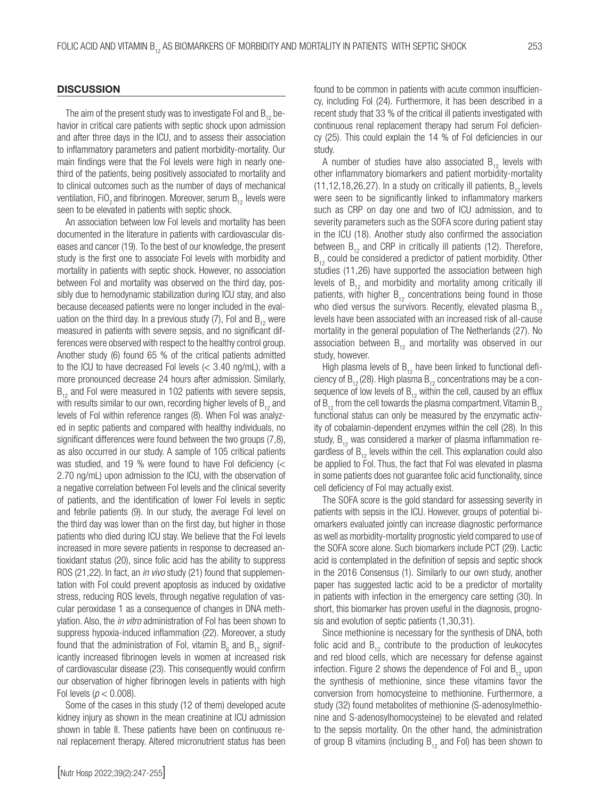#### **DISCUSSION**

The aim of the present study was to investigate Fol and  $B_{12}$  behavior in critical care patients with septic shock upon admission and after three days in the ICU, and to assess their association to inflammatory parameters and patient morbidity-mortality. Our main findings were that the Fol levels were high in nearly onethird of the patients, being positively associated to mortality and to clinical outcomes such as the number of days of mechanical ventilation, FiO<sub>2</sub> and fibrinogen. Moreover, serum  $B_{12}$  levels were seen to be elevated in patients with septic shock.

An association between low Fol levels and mortality has been documented in the literature in patients with cardiovascular diseases and cancer (19). To the best of our knowledge, the present study is the first one to associate Fol levels with morbidity and mortality in patients with septic shock. However, no association between Fol and mortality was observed on the third day, possibly due to hemodynamic stabilization during ICU stay, and also because deceased patients were no longer included in the evaluation on the third day. In a previous study  $(7)$ , Fol and B<sub>12</sub> were measured in patients with severe sepsis, and no significant differences were observed with respect to the healthy control group. Another study (6) found 65 % of the critical patients admitted to the ICU to have decreased Fol levels (< 3.40 ng/mL), with a more pronounced decrease 24 hours after admission. Similarly,  $B_{12}$  and Fol were measured in 102 patients with severe sepsis, with results similar to our own, recording higher levels of  $B_{12}$  and levels of Fol within reference ranges (8). When Fol was analyzed in septic patients and compared with healthy individuals, no significant differences were found between the two groups (7,8), as also occurred in our study. A sample of 105 critical patients was studied, and 19 % were found to have Fol deficiency  $\ll$ 2.70 ng/mL) upon admission to the ICU, with the observation of a negative correlation between Fol levels and the clinical severity of patients, and the identification of lower Fol levels in septic and febrile patients (9). In our study, the average Fol level on the third day was lower than on the first day, but higher in those patients who died during ICU stay. We believe that the Fol levels increased in more severe patients in response to decreased antioxidant status (20), since folic acid has the ability to suppress ROS (21,22). In fact, an *in vivo* study (21) found that supplementation with Fol could prevent apoptosis as induced by oxidative stress, reducing ROS levels, through negative regulation of vascular peroxidase 1 as a consequence of changes in DNA methylation. Also, the *in vitro* administration of Fol has been shown to suppress hypoxia-induced inflammation (22). Moreover, a study found that the administration of Fol, vitamin  $\mathsf{B}_{_{6}}$  and  $\mathsf{B}_{_{12}}$  significantly increased fibrinogen levels in women at increased risk of cardiovascular disease (23). This consequently would confirm our observation of higher fibrinogen levels in patients with high Fol levels ( $p < 0.008$ ).

Some of the cases in this study (12 of them) developed acute kidney injury as shown in the mean creatinine at ICU admission shown in table II. These patients have been on continuous renal replacement therapy. Altered micronutrient status has been found to be common in patients with acute common insufficiency, including Fol (24). Furthermore, it has been described in a recent study that 33 % of the critical ill patients investigated with continuous renal replacement therapy had serum Fol deficiency (25). This could explain the 14 % of Fol deficiencies in our study.

A number of studies have also associated  $B_{12}$  levels with other inflammatory biomarkers and patient morbidity-mortality  $(11, 12, 18, 26, 27)$ . In a study on critically ill patients,  $B_{12}$  levels were seen to be significantly linked to inflammatory markers such as CRP on day one and two of ICU admission, and to severity parameters such as the SOFA score during patient stay in the ICU (18). Another study also confirmed the association between  $B_{12}$  and CRP in critically ill patients (12). Therefore,  $B_{12}$  could be considered a predictor of patient morbidity. Other studies (11,26) have supported the association between high levels of  $B_{12}$  and morbidity and mortality among critically ill patients, with higher  $B_{12}$  concentrations being found in those who died versus the survivors. Recently, elevated plasma  $B_{12}$ levels have been associated with an increased risk of all-cause mortality in the general population of The Netherlands (27). No association between  $B_{12}$  and mortality was observed in our study, however.

High plasma levels of  $B_{12}$  have been linked to functional deficiency of  $B_{12}$  (28). High plasma  $B_{12}$  concentrations may be a consequence of low levels of  $B_{12}$  within the cell, caused by an efflux of  $B_{12}$  from the cell towards the plasma compartment. Vitamin  $B_{12}$ functional status can only be measured by the enzymatic activity of cobalamin-dependent enzymes within the cell (28). In this study,  $B_{12}$  was considered a marker of plasma inflammation regardless of  $B_{12}$  levels within the cell. This explanation could also be applied to Fol. Thus, the fact that Fol was elevated in plasma in some patients does not guarantee folic acid functionality, since cell deficiency of Fol may actually exist.

The SOFA score is the gold standard for assessing severity in patients with sepsis in the ICU. However, groups of potential biomarkers evaluated jointly can increase diagnostic performance as well as morbidity-mortality prognostic yield compared to use of the SOFA score alone. Such biomarkers include PCT (29). Lactic acid is contemplated in the definition of sepsis and septic shock in the 2016 Consensus (1). Similarly to our own study, another paper has suggested lactic acid to be a predictor of mortality in patients with infection in the emergency care setting (30). In short, this biomarker has proven useful in the diagnosis, prognosis and evolution of septic patients (1,30,31).

Since methionine is necessary for the synthesis of DNA, both folic acid and  $B_{12}$  contribute to the production of leukocytes and red blood cells, which are necessary for defense against infection. Figure 2 shows the dependence of Fol and  $B_{12}$  upon the synthesis of methionine, since these vitamins favor the conversion from homocysteine to methionine. Furthermore, a study (32) found metabolites of methionine (S-adenosylmethionine and S-adenosylhomocysteine) to be elevated and related to the sepsis mortality. On the other hand, the administration of group B vitamins (including  $B_{12}$  and Fol) has been shown to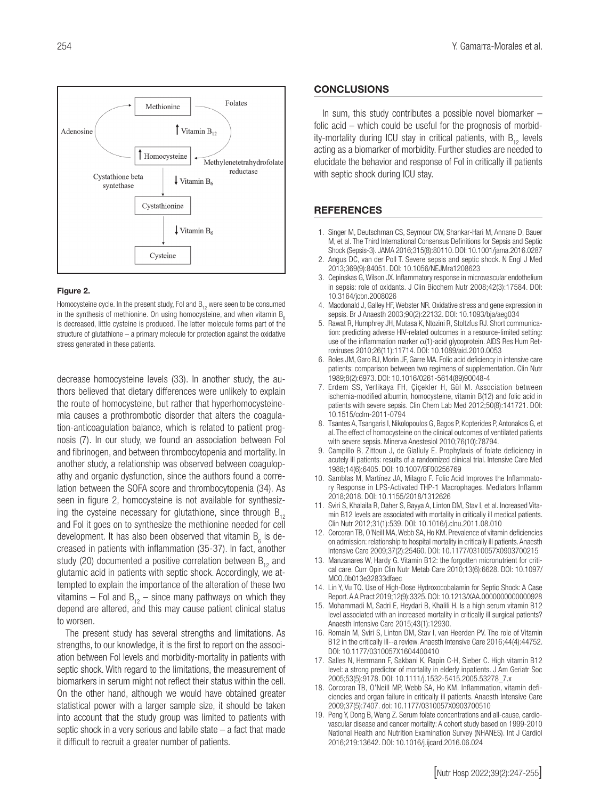

#### Figure 2.

Homocysteine cycle. In the present study, Fol and  $B_{12}$  were seen to be consumed in the synthesis of methionine. On using homocysteine, and when vitamin  $B_0$ is decreased, little cysteine is produced. The latter molecule forms part of the structure of glutathione – a primary molecule for protection against the oxidative stress generated in these patients.

decrease homocysteine levels (33). In another study, the authors believed that dietary differences were unlikely to explain the route of homocysteine, but rather that hyperhomocysteinemia causes a prothrombotic disorder that alters the coagulation-anticoagulation balance, which is related to patient prognosis (7). In our study, we found an association between Fol and fibrinogen, and between thrombocytopenia and mortality. In another study, a relationship was observed between coagulopathy and organic dysfunction, since the authors found a correlation between the SOFA score and thrombocytopenia (34). As seen in figure 2, homocysteine is not available for synthesizing the cysteine necessary for glutathione, since through  $B_{12}$ and Fol it goes on to synthesize the methionine needed for cell development. It has also been observed that vitamin  $\mathsf{B}_{_{6}}$  is decreased in patients with inflammation (35-37). In fact, another study (20) documented a positive correlation between  $B_{12}$  and glutamic acid in patients with septic shock. Accordingly, we attempted to explain the importance of the alteration of these two vitamins – Fol and  $B_{12}$  – since many pathways on which they depend are altered, and this may cause patient clinical status to worsen.

The present study has several strengths and limitations. As strengths, to our knowledge, it is the first to report on the association between Fol levels and morbidity-mortality in patients with septic shock. With regard to the limitations, the measurement of biomarkers in serum might not reflect their status within the cell. On the other hand, although we would have obtained greater statistical power with a larger sample size, it should be taken into account that the study group was limited to patients with septic shock in a very serious and labile state – a fact that made it difficult to recruit a greater number of patients.

#### **CONCLUSIONS**

In sum, this study contributes a possible novel biomarker – folic acid – which could be useful for the prognosis of morbidity-mortality during ICU stay in critical patients, with  $B_{12}$  levels acting as a biomarker of morbidity. Further studies are needed to elucidate the behavior and response of Fol in critically ill patients with septic shock during ICU stay.

### REFERENCES

- 1. Singer M, Deutschman CS, Seymour CW, Shankar-Hari M, Annane D, Bauer M, et al. The Third International Consensus Definitions for Sepsis and Septic Shock (Sepsis-3). JAMA 2016;315(8):80110. DOI: 10.1001/jama.2016.0287
- 2. Angus DC, van der Poll T. Severe sepsis and septic shock. N Engl J Med 2013;369(9):84051. DOI: 10.1056/NEJMra1208623
- 3. Cepinskas G, Wilson JX. Inflammatory response in microvascular endothelium in sepsis: role of oxidants. J Clin Biochem Nutr 2008;42(3):17584. DOI: 10.3164/jcbn.2008026
- 4. Macdonald J, Galley HF, Webster NR. Oxidative stress and gene expression in sepsis. Br J Anaesth 2003;90(2):22132. DOI: 10.1093/bja/aeg034
- 5. Rawat R, Humphrey JH, Mutasa K, Ntozini R, Stoltzfus RJ. Short communication: predicting adverse HIV-related outcomes in a resource-limited setting: use of the inflammation marker  $\alpha$ (1)-acid glycoprotein. AIDS Res Hum Retroviruses 2010;26(11):11714. DOI: 10.1089/aid.2010.0053
- 6. Boles JM, Garo BJ, Morin JF, Garre MA. Folic acid deficiency in intensive care patients: comparison between two regimens of supplementation. Clin Nutr 1989;8(2):6973. DOI: 10.1016/0261-5614(89)90048-4
- 7. Erdem SS, Yerlikaya FH, Çiçekler H, Gül M. Association between ischemia-modified albumin, homocysteine, vitamin B(12) and folic acid in patients with severe sepsis. Clin Chem Lab Med 2012;50(8):141721. DOI: 10.1515/cclm-2011-0794
- 8. Tsantes A, Tsangaris I, Nikolopoulos G, Bagos P, Kopterides P, Antonakos G, et al. The effect of homocysteine on the clinical outcomes of ventilated patients with severe sepsis. Minerva Anestesiol 2010;76(10):78794.
- 9. Campillo B, Zittoun J, de Gialluly E. Prophylaxis of folate deficiency in acutely ill patients: results of a randomized clinical trial. Intensive Care Med 1988;14(6):6405. DOI: 10.1007/BF00256769
- 10. Samblas M, Martínez JA, Milagro F. Folic Acid Improves the Inflammatory Response in LPS-Activated THP-1 Macrophages. Mediators Inflamm 2018;2018. DOI: 10.1155/2018/1312626
- 11. Sviri S, Khalaila R, Daher S, Bayya A, Linton DM, Stav I, et al. Increased Vitamin B12 levels are associated with mortality in critically ill medical patients. Clin Nutr 2012;31(1):539. DOI: 10.1016/j.clnu.2011.08.010
- 12. Corcoran TB, O'Neill MA, Webb SA, Ho KM. Prevalence of vitamin deficiencies on admission: relationship to hospital mortality in critically ill patients. Anaesth Intensive Care 2009;37(2):25460. DOI: 10.1177/0310057X0903700215
- 13. Manzanares W, Hardy G. Vitamin B12: the forgotten micronutrient for critical care. Curr Opin Clin Nutr Metab Care 2010;13(6):6628. DOI: 10.1097/ MCO.0b013e32833dfaec
- 14. Lin Y, Vu TQ. Use of High-Dose Hydroxocobalamin for Septic Shock: A Case Report. A A Pract 2019;12(9):3325. DOI: 10.1213/XAA.0000000000000928
- 15. Mohammadi M, Sadri E, Heydari B, Khalili H. Is a high serum vitamin B12 level associated with an increased mortality in critically ill surgical patients? Anaesth Intensive Care 2015;43(1):12930.
- 16. Romain M, Sviri S, Linton DM, Stav I, van Heerden PV. The role of Vitamin B12 in the critically ill--a review. Anaesth Intensive Care 2016;44(4):44752. DOI: 10.1177/0310057X1604400410
- 17. Salles N, Herrmann F, Sakbani K, Rapin C-H, Sieber C. High vitamin B12 level: a strong predictor of mortality in elderly inpatients. J Am Geriatr Soc 2005;53(5):9178. DOI: 10.1111/j.1532-5415.2005.53278\_7.x
- 18. Corcoran TB, O'Neill MP, Webb SA, Ho KM. Inflammation, vitamin deficiencies and organ failure in critically ill patients. Anaesth Intensive Care 2009;37(5):7407. doi: 10.1177/0310057X0903700510
- 19. Peng Y, Dong B, Wang Z. Serum folate concentrations and all-cause, cardiovascular disease and cancer mortality: A cohort study based on 1999-2010 National Health and Nutrition Examination Survey (NHANES). Int J Cardiol 2016;219:13642. DOI: 10.1016/j.ijcard.2016.06.024